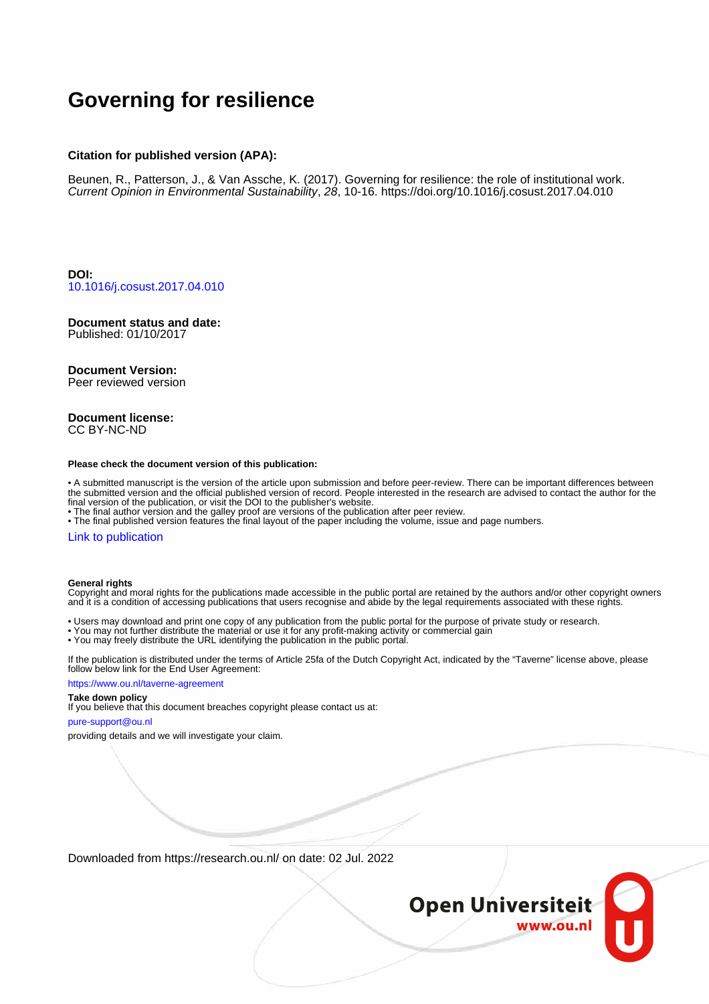# **Governing for resilience**

### **Citation for published version (APA):**

Beunen, R., Patterson, J., & Van Assche, K. (2017). Governing for resilience: the role of institutional work. Current Opinion in Environmental Sustainability, 28, 10-16. <https://doi.org/10.1016/j.cosust.2017.04.010>

**DOI:** [10.1016/j.cosust.2017.04.010](https://doi.org/10.1016/j.cosust.2017.04.010)

# **Document status and date:**

Published: 01/10/2017

### **Document Version:**

Peer reviewed version

#### **Document license:** CC BY-NC-ND

#### **Please check the document version of this publication:**

• A submitted manuscript is the version of the article upon submission and before peer-review. There can be important differences between the submitted version and the official published version of record. People interested in the research are advised to contact the author for the final version of the publication, or visit the DOI to the publisher's website.

• The final author version and the galley proof are versions of the publication after peer review.

• The final published version features the final layout of the paper including the volume, issue and page numbers.

### [Link to publication](https://research.ou.nl/en/publications/94a8d549-e603-45a9-ace0-f0c98f816b18)

#### **General rights**

Copyright and moral rights for the publications made accessible in the public portal are retained by the authors and/or other copyright owners and it is a condition of accessing publications that users recognise and abide by the legal requirements associated with these rights.

- Users may download and print one copy of any publication from the public portal for the purpose of private study or research.
- You may not further distribute the material or use it for any profit-making activity or commercial gain
- You may freely distribute the URL identifying the publication in the public portal.

If the publication is distributed under the terms of Article 25fa of the Dutch Copyright Act, indicated by the "Taverne" license above, please follow below link for the End User Agreement:

#### https://www.ou.nl/taverne-agreement

# **Take down policy**

If you believe that this document breaches copyright please contact us at:

#### pure-support@ou.nl

providing details and we will investigate your claim.

Downloaded from https://research.ou.nl/ on date: 02 Jul. 2022

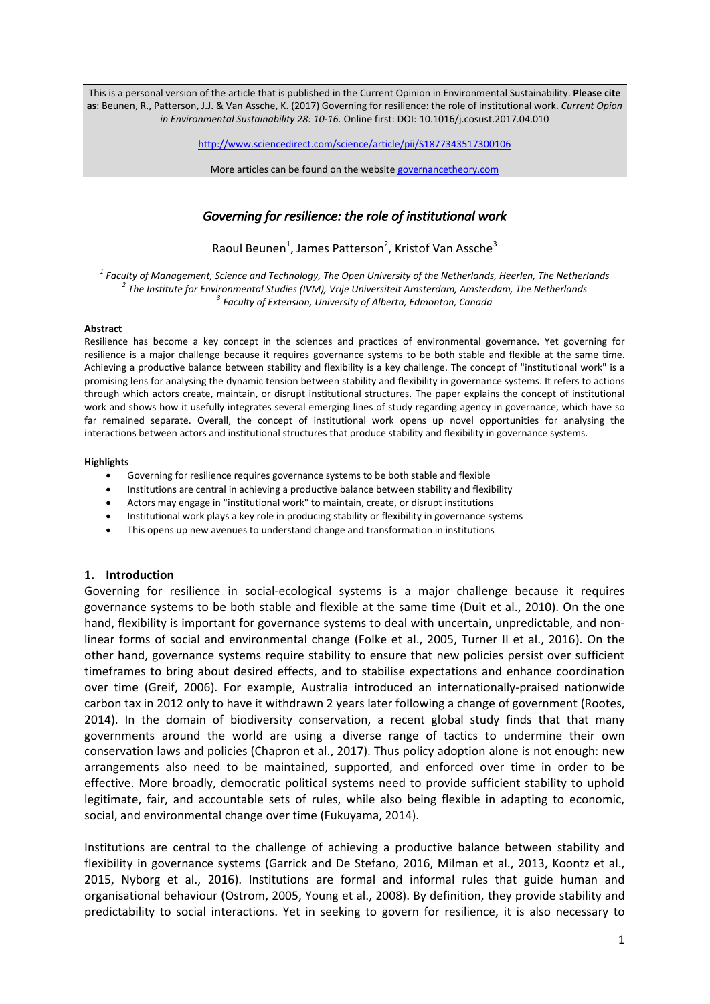This is a personal version of the article that is published in the Current Opinion in Environmental Sustainability. **Please cite as**: Beunen, R., Patterson, J.J. & Van Assche, K. (2017) Governing for resilience: the role of institutional work. *Current Opion in Environmental Sustainability 28: 10-16.* Online first: DOI: 10.1016/j.cosust.2017.04.010

<http://www.sciencedirect.com/science/article/pii/S1877343517300106>

More articles can be found on the websit[e governancetheory.com](https://governancetheory.wordpress.com/)

# *Governing for resilience: the role of institutional work*

Raoul Beunen<sup>1</sup>, James Patterson<sup>2</sup>, Kristof Van Assche<sup>3</sup>

*1 Faculty of Management, Science and Technology, The Open University of the Netherlands, Heerlen, The Netherlands 2 The Institute for Environmental Studies (IVM), Vrije Universiteit Amsterdam, Amsterdam, The Netherlands 3 Faculty of Extension, University of Alberta, Edmonton, Canada*

### **Abstract**

Resilience has become a key concept in the sciences and practices of environmental governance. Yet governing for resilience is a major challenge because it requires governance systems to be both stable and flexible at the same time. Achieving a productive balance between stability and flexibility is a key challenge. The concept of "institutional work" is a promising lens for analysing the dynamic tension between stability and flexibility in governance systems. It refers to actions through which actors create, maintain, or disrupt institutional structures. The paper explains the concept of institutional work and shows how it usefully integrates several emerging lines of study regarding agency in governance, which have so far remained separate. Overall, the concept of institutional work opens up novel opportunities for analysing the interactions between actors and institutional structures that produce stability and flexibility in governance systems.

### **Highlights**

- Governing for resilience requires governance systems to be both stable and flexible
- Institutions are central in achieving a productive balance between stability and flexibility
- Actors may engage in "institutional work" to maintain, create, or disrupt institutions
- Institutional work plays a key role in producing stability or flexibility in governance systems
- This opens up new avenues to understand change and transformation in institutions

# **1. Introduction**

Governing for resilience in social-ecological systems is a major challenge because it requires governance systems to be both stable and flexible at the same time [\(Duit et al., 2010\)](#page-7-0). On the one hand, flexibility is important for governance systems to deal with uncertain, unpredictable, and nonlinear forms of social and environmental change [\(Folke et al., 2005,](#page-7-1) [Turner II et al., 2016\)](#page-8-0). On the other hand, governance systems require stability to ensure that new policies persist over sufficient timeframes to bring about desired effects, and to stabilise expectations and enhance coordination over time [\(Greif, 2006\)](#page-7-2). For example, Australia introduced an internationally-praised nationwide carbon tax in 2012 only to have it withdrawn 2 years later following a change of government [\(Rootes,](#page-8-1)  2014). In the domain of biodiversity conservation, a recent global study finds that that many governments around the world are using a diverse range of tactics to undermine their own conservation laws and policies [\(Chapron et al., 2017\)](#page-7-3). Thus policy adoption alone is not enough: new arrangements also need to be maintained, supported, and enforced over time in order to be effective. More broadly, democratic political systems need to provide sufficient stability to uphold legitimate, fair, and accountable sets of rules, while also being flexible in adapting to economic, social, and environmental change over time [\(Fukuyama, 2014\)](#page-7-4).

Institutions are central to the challenge of achieving a productive balance between stability and flexibility in governance systems [\(Garrick and De Stefano, 2016,](#page-7-5) [Milman et al., 2013,](#page-8-2) Koontz et al., [2015,](#page-7-6) [Nyborg et al., 2016\)](#page-8-3). Institutions are formal and informal rules that guide human and organisational behaviour [\(Ostrom, 2005,](#page-8-4) [Young et al., 2008\)](#page-8-5). By definition, they provide stability and predictability to social interactions. Yet in seeking to govern for resilience, it is also necessary to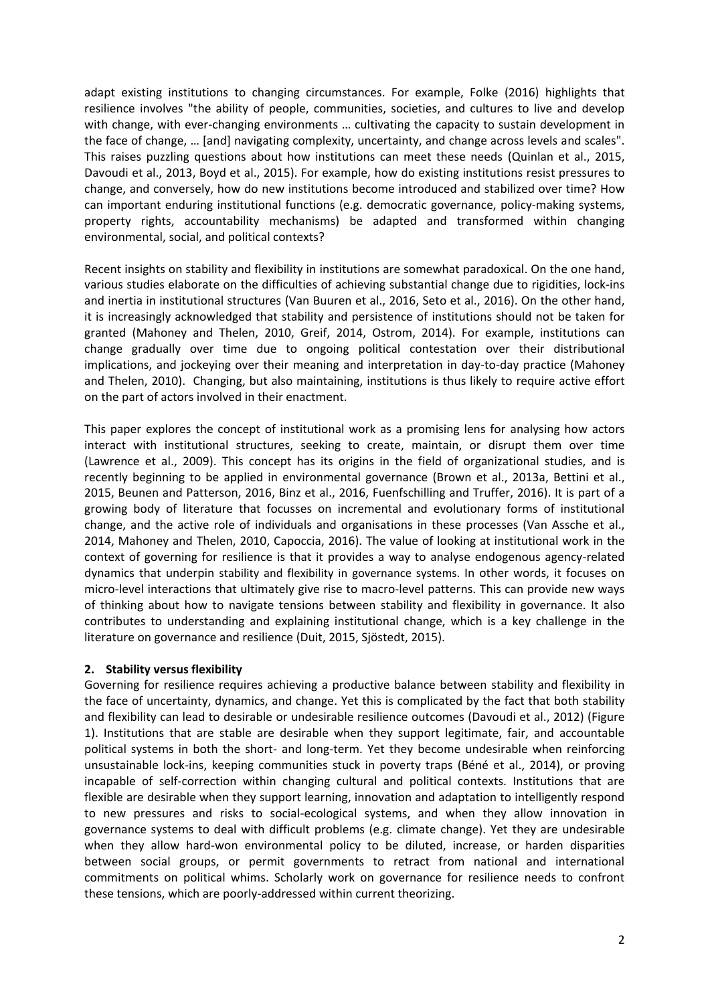adapt existing institutions to changing circumstances. For example, Folke (2016) highlights that resilience involves "the ability of people, communities, societies, and cultures to live and develop with change, with ever-changing environments … cultivating the capacity to sustain development in the face of change, … [and] navigating complexity, uncertainty, and change across levels and scales". This raises puzzling questions about how institutions can meet these needs [\(Quinlan et al., 2015,](#page-8-6) [Davoudi et al., 2013,](#page-7-7) [Boyd et al., 2015\)](#page-7-8). For example, how do existing institutions resist pressures to change, and conversely, how do new institutions become introduced and stabilized over time? How can important enduring institutional functions (e.g. democratic governance, policy-making systems, property rights, accountability mechanisms) be adapted and transformed within changing environmental, social, and political contexts?

Recent insights on stability and flexibility in institutions are somewhat paradoxical. On the one hand, various studies elaborate on the difficulties of achieving substantial change due to rigidities, lock-ins and inertia in institutional structures [\(Van Buuren et al., 2016,](#page-8-7) [Seto et al., 2016\)](#page-8-8). On the other hand, it is increasingly acknowledged that stability and persistence of institutions should not be taken for granted [\(Mahoney and Thelen, 2010,](#page-8-9) [Greif, 2014,](#page-7-9) [Ostrom, 2014\)](#page-8-10). For example, institutions can change gradually over time due to ongoing political contestation over their distributional implications, and jockeying over their meaning and interpretation in day-to-day practice [\(Mahoney](#page-8-9)  and Thelen, 2010). Changing, but also maintaining, institutions is thus likely to require active effort on the part of actors involved in their enactment.

This paper explores the concept of institutional work as a promising lens for analysing how actors interact with institutional structures, seeking to create, maintain, or disrupt them over time [\(Lawrence et al., 2009\)](#page-8-11). This concept has its origins in the field of organizational studies, and is recently beginning to be applied in environmental governance [\(Brown et al., 2013a,](#page-7-10) [Bettini et al.,](#page-6-0)  [2015,](#page-6-0) [Beunen and Patterson, 2016,](#page-6-1) [Binz et al., 2016,](#page-6-2) [Fuenfschilling and Truffer, 2016\)](#page-7-11). It is part of a growing body of literature that focusses on incremental and evolutionary forms of institutional change, and the active role of individuals and organisations in these processes [\(Van Assche et al.,](#page-8-12)  [2014,](#page-8-12) [Mahoney and Thelen, 2010,](#page-8-9) [Capoccia, 2016\)](#page-7-12). The value of looking at institutional work in the context of governing for resilience is that it provides a way to analyse endogenous agency-related dynamics that underpin stability and flexibility in governance systems. In other words, it focuses on micro-level interactions that ultimately give rise to macro-level patterns. This can provide new ways of thinking about how to navigate tensions between stability and flexibility in governance. It also contributes to understanding and explaining institutional change, which is a key challenge in the literature on governance and resilience [\(Duit, 2015,](#page-7-13) [Sjöstedt, 2015\)](#page-8-13).

# **2. Stability versus flexibility**

Governing for resilience requires achieving a productive balance between stability and flexibility in the face of uncertainty, dynamics, and change. Yet this is complicated by the fact that both stability and flexibility can lead to desirable or undesirable resilience outcomes [\(Davoudi et al., 2012\)](#page-7-14) (Figure 1). Institutions that are stable are desirable when they support legitimate, fair, and accountable political systems in both the short- and long-term. Yet they become undesirable when reinforcing unsustainable lock-ins, keeping communities stuck in poverty traps [\(Béné et al., 2014\)](#page-6-3), or proving incapable of self-correction within changing cultural and political contexts. Institutions that are flexible are desirable when they support learning, innovation and adaptation to intelligently respond to new pressures and risks to social-ecological systems, and when they allow innovation in governance systems to deal with difficult problems (e.g. climate change). Yet they are undesirable when they allow hard-won environmental policy to be diluted, increase, or harden disparities between social groups, or permit governments to retract from national and international commitments on political whims. Scholarly work on governance for resilience needs to confront these tensions, which are poorly-addressed within current theorizing.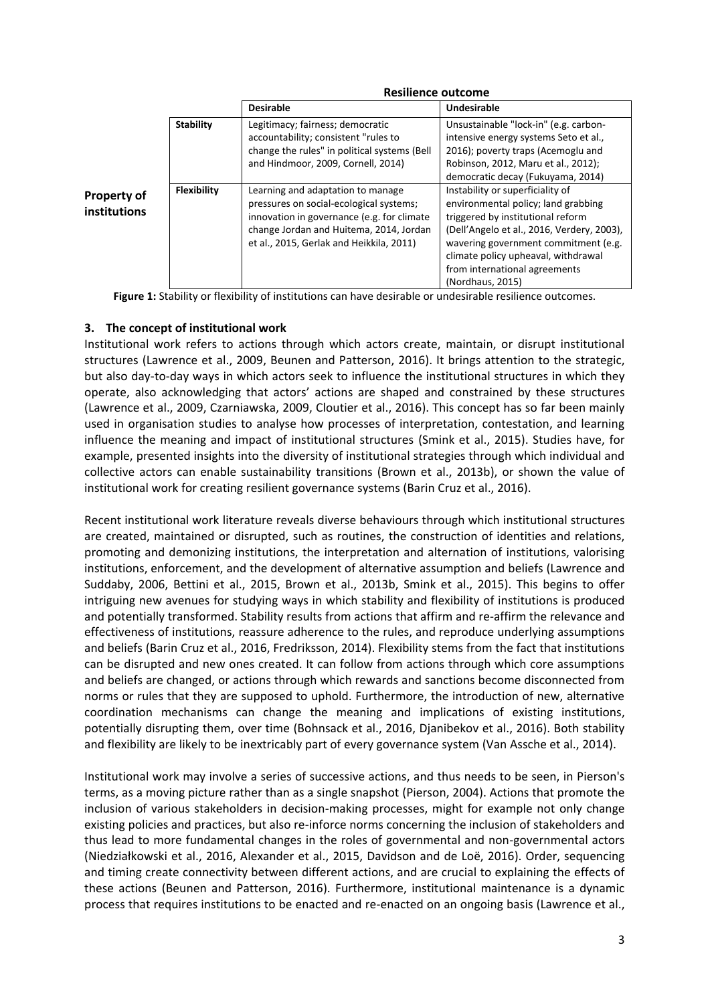|                                    |                    | RESHIELICE OULCONIE                                                                                                                                                                                               |                                                                                                                                                                                                                                                                                                |
|------------------------------------|--------------------|-------------------------------------------------------------------------------------------------------------------------------------------------------------------------------------------------------------------|------------------------------------------------------------------------------------------------------------------------------------------------------------------------------------------------------------------------------------------------------------------------------------------------|
|                                    |                    | <b>Desirable</b>                                                                                                                                                                                                  | <b>Undesirable</b>                                                                                                                                                                                                                                                                             |
| <b>Property of</b><br>institutions | <b>Stability</b>   | Legitimacy; fairness; democratic<br>accountability; consistent "rules to<br>change the rules" in political systems (Bell<br>and Hindmoor, 2009, Cornell, 2014)                                                    | Unsustainable "lock-in" (e.g. carbon-<br>intensive energy systems Seto et al.,<br>2016); poverty traps (Acemoglu and<br>Robinson, 2012, Maru et al., 2012);<br>democratic decay (Fukuyama, 2014)                                                                                               |
|                                    | <b>Flexibility</b> | Learning and adaptation to manage<br>pressures on social-ecological systems;<br>innovation in governance (e.g. for climate<br>change Jordan and Huitema, 2014, Jordan<br>et al., 2015, Gerlak and Heikkila, 2011) | Instability or superficiality of<br>environmental policy; land grabbing<br>triggered by institutional reform<br>(Dell'Angelo et al., 2016, Verdery, 2003),<br>wavering government commitment (e.g.<br>climate policy upheaval, withdrawal<br>from international agreements<br>(Nordhaus, 2015) |

### **Resilience outcome**

Figure 1: Stability or flexibility of institutions can have desirable or undesirable resilience outcomes.

# **3. The concept of institutional work**

Institutional work refers to actions through which actors create, maintain, or disrupt institutional structures [\(Lawrence et al., 2009,](#page-8-11) [Beunen and Patterson, 2016\)](#page-6-1). It brings attention to the strategic, but also day-to-day ways in which actors seek to influence the institutional structures in which they operate, also acknowledging that actors' actions are shaped and constrained by these structures [\(Lawrence et al., 2009,](#page-8-11) [Czarniawska, 2009,](#page-7-20) [Cloutier et al., 2016\)](#page-7-21). This concept has so far been mainly used in organisation studies to analyse how processes of interpretation, contestation, and learning influence the meaning and impact of institutional structures [\(Smink et al., 2015\)](#page-8-17). Studies have, for example, presented insights into the diversity of institutional strategies through which individual and collective actors can enable sustainability transitions [\(Brown et al., 2013b\)](#page-7-22), or shown the value of institutional work for creating resilient governance systems [\(Barin Cruz et al., 2016\)](#page-6-6).

Recent institutional work literature reveals diverse behaviours through which institutional structures are created, maintained or disrupted, such as routines, the construction of identities and relations, promoting and demonizing institutions, the interpretation and alternation of institutions, valorising institutions, enforcement, and the development of alternative assumption and beliefs [\(Lawrence and](#page-8-18)  [Suddaby, 2006,](#page-8-18) [Bettini et al., 2015,](#page-6-0) [Brown et al., 2013b,](#page-7-22) [Smink et al., 2015\)](#page-8-17). This begins to offer intriguing new avenues for studying ways in which stability and flexibility of institutions is produced and potentially transformed. Stability results from actions that affirm and re-affirm the relevance and effectiveness of institutions, reassure adherence to the rules, and reproduce underlying assumptions and beliefs [\(Barin Cruz et al., 2016,](#page-6-6) [Fredriksson, 2014\)](#page-7-23). Flexibility stems from the fact that institutions can be disrupted and new ones created. It can follow from actions through which core assumptions and beliefs are changed, or actions through which rewards and sanctions become disconnected from norms or rules that they are supposed to uphold. Furthermore, the introduction of new, alternative coordination mechanisms can change the meaning and implications of existing institutions, potentially disrupting them, over time [\(Bohnsack et al., 2016,](#page-7-24) [Djanibekov et al., 2016\)](#page-7-25). Both stability and flexibility are likely to be inextricably part of every governance system [\(Van Assche et al., 2014\)](#page-8-12).

Institutional work may involve a series of successive actions, and thus needs to be seen, in Pierson's terms, as a moving picture rather than as a single snapshot [\(Pierson, 2004\)](#page-8-19). Actions that promote the inclusion of various stakeholders in decision-making processes, might for example not only change existing policies and practices, but also re-inforce norms concerning the inclusion of stakeholders and thus lead to more fundamental changes in the roles of governmental and non-governmental actors ([Niedziałkowski et al., 2016](#page-8-20), [Alexander et al., 2015,](#page-6-7) [Davidson and de Loë, 2016\)](#page-7-26). Order, sequencing and timing create connectivity between different actions, and are crucial to explaining the effects of these actions [\(Beunen and Patterson, 2016\)](#page-6-1). Furthermore, institutional maintenance is a dynamic process that requires institutions to be enacted and re-enacted on an ongoing basis [\(Lawrence et al.,](#page-8-11)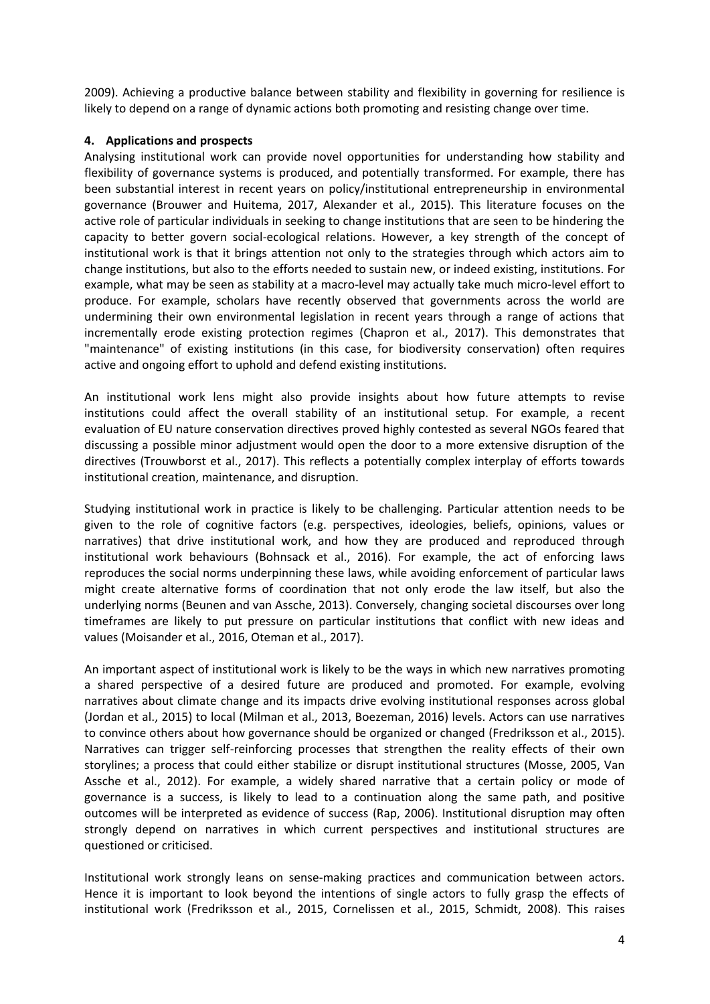2009). Achieving a productive balance between stability and flexibility in governing for resilience is likely to depend on a range of dynamic actions both promoting and resisting change over time.

# **4. Applications and prospects**

Analysing institutional work can provide novel opportunities for understanding how stability and flexibility of governance systems is produced, and potentially transformed. For example, there has been substantial interest in recent years on policy/institutional entrepreneurship in environmental governance [\(Brouwer and Huitema, 2017,](#page-7-27) Alexander [et al., 2015\)](#page-6-7). This literature focuses on the active role of particular individuals in seeking to change institutions that are seen to be hindering the capacity to better govern social-ecological relations. However, a key strength of the concept of institutional work is that it brings attention not only to the strategies through which actors aim to change institutions, but also to the efforts needed to sustain new, or indeed existing, institutions. For example, what may be seen as stability at a macro-level may actually take much micro-level effort to produce. For example, scholars have recently observed that governments across the world are undermining their own environmental legislation in recent years through a range of actions that incrementally erode existing protection regimes [\(Chapron et al., 2017\)](#page-7-3). This demonstrates that "maintenance" of existing institutions (in this case, for biodiversity conservation) often requires active and ongoing effort to uphold and defend existing institutions.

An institutional work lens might also provide insights about how future attempts to revise institutions could affect the overall stability of an institutional setup. For example, a recent evaluation of EU nature conservation directives proved highly contested as several NGOs feared that discussing a possible minor adjustment would open the door to a more extensive disruption of the directives [\(Trouwborst et al., 2017\)](#page-8-21). This reflects a potentially complex interplay of efforts towards institutional creation, maintenance, and disruption.

Studying institutional work in practice is likely to be challenging. Particular attention needs to be given to the role of cognitive factors (e.g. perspectives, ideologies, beliefs, opinions, values or narratives) that drive institutional work, and how they are produced and reproduced through institutional work behaviours [\(Bohnsack et al., 2016\)](#page-7-24). For example, the act of enforcing laws reproduces the social norms underpinning these laws, while avoiding enforcement of particular laws might create alternative forms of coordination that not only erode the law itself, but also the underlying norms [\(Beunen and van Assche, 2013\)](#page-6-8). Conversely, changing societal discourses over long timeframes are likely to put pressure on particular institutions that conflict with new ideas and values [\(Moisander et al., 2016,](#page-8-22) [Oteman et al., 2017\)](#page-8-23).

An important aspect of institutional work is likely to be the ways in which new narratives promoting a shared perspective of a desired future are produced and promoted. For example, evolving narratives about climate change and its impacts drive evolving institutional responses across global [\(Jordan et al., 2015\)](#page-7-17) to local [\(Milman et al., 2013,](#page-8-2) [Boezeman, 2016\)](#page-6-9) levels. Actors can use narratives to convince others about how governance should be organized or changed [\(Fredriksson et al., 2015\)](#page-7-28). Narratives can trigger self-reinforcing processes that strengthen the reality effects of their own storylines; a process that could either stabilize or disrupt institutional structures [\(Mosse, 2005,](#page-8-24) [Van](#page-8-25)  [Assche et al., 2012\)](#page-8-25). For example, a widely shared narrative that a certain policy or mode of governance is a success, is likely to lead to a continuation along the same path, and positive outcomes will be interpreted as evidence of success [\(Rap, 2006\)](#page-8-26). Institutional disruption may often strongly depend on narratives in which current perspectives and institutional structures are questioned or criticised.

Institutional work strongly leans on sense-making practices and communication between actors. Hence it is important to look beyond the intentions of single actors to fully grasp the effects of institutional work [\(Fredriksson et al., 2015,](#page-7-28) [Cornelissen et al., 2015,](#page-7-29) [Schmidt, 2008\)](#page-8-27). This raises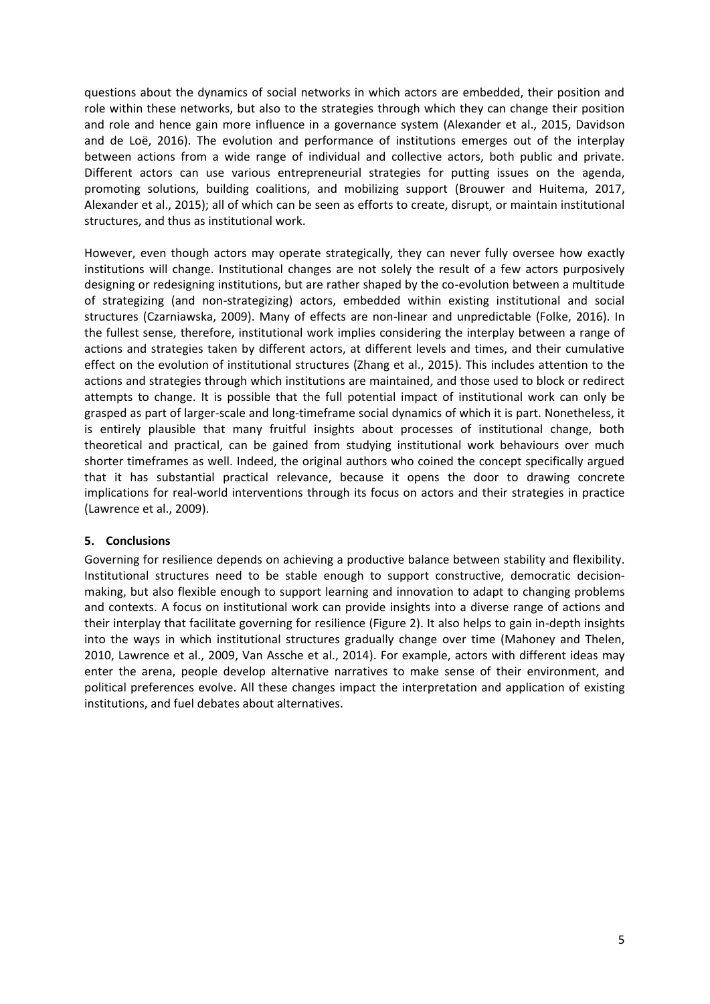questions about the dynamics of social networks in which actors are embedded, their position and role within these networks, but also to the strategies through which they can change their position and role and hence gain more influence in a governance system [\(Alexander et al., 2015,](#page-6-7) [Davidson](#page-7-26)  [and de Loë, 2016\)](#page-7-26). The evolution and performance of institutions emerges out of the interplay between actions from a wide range of individual and collective actors, both public and private. Different actors can use various entrepreneurial strategies for putting issues on the agenda, promoting solutions, building coalitions, and mobilizing support [\(Brouwer and Huitema, 2017,](#page-7-27) [Alexander et al., 2015\)](#page-6-7); all of which can be seen as efforts to create, disrupt, or maintain institutional structures, and thus as institutional work.

However, even though actors may operate strategically, they can never fully oversee how exactly institutions will change. Institutional changes are not solely the result of a few actors purposively designing or redesigning institutions, but are rather shaped by the co-evolution between a multitude of strategizing (and non-strategizing) actors, embedded within existing institutional and social structures [\(Czarniawska, 2009\)](#page-7-20). Many of effects are non-linear and unpredictable [\(Folke, 2016\)](#page-7-30). In the fullest sense, therefore, institutional work implies considering the interplay between a range of actions and strategies taken by different actors, at different levels and times, and their cumulative effect on the evolution of institutional structures [\(Zhang et al., 2015\)](#page-8-28). This includes attention to the actions and strategies through which institutions are maintained, and those used to block or redirect attempts to change. It is possible that the full potential impact of institutional work can only be grasped as part of larger-scale and long-timeframe social dynamics of which it is part. Nonetheless, it is entirely plausible that many fruitful insights about processes of institutional change, both theoretical and practical, can be gained from studying institutional work behaviours over much shorter timeframes as well. Indeed, the original authors who coined the concept specifically argued that it has substantial practical relevance, because it opens the door to drawing concrete implications for real-world interventions through its focus on actors and their strategies in practice [\(Lawrence et al., 2009\)](#page-8-11).

# **5. Conclusions**

Governing for resilience depends on achieving a productive balance between stability and flexibility. Institutional structures need to be stable enough to support constructive, democratic decisionmaking, but also flexible enough to support learning and innovation to adapt to changing problems and contexts. A focus on institutional work can provide insights into a diverse range of actions and their interplay that facilitate governing for resilience (Figure 2). It also helps to gain in-depth insights into the ways in which institutional structures gradually change over time [\(Mahoney and Thelen,](#page-8-9)  [2010,](#page-8-9) [Lawrence et al., 2009,](#page-8-11) [Van Assche et al., 2014\)](#page-8-12). For example, actors with different ideas may enter the arena, people develop alternative narratives to make sense of their environment, and political preferences evolve. All these changes impact the interpretation and application of existing institutions, and fuel debates about alternatives.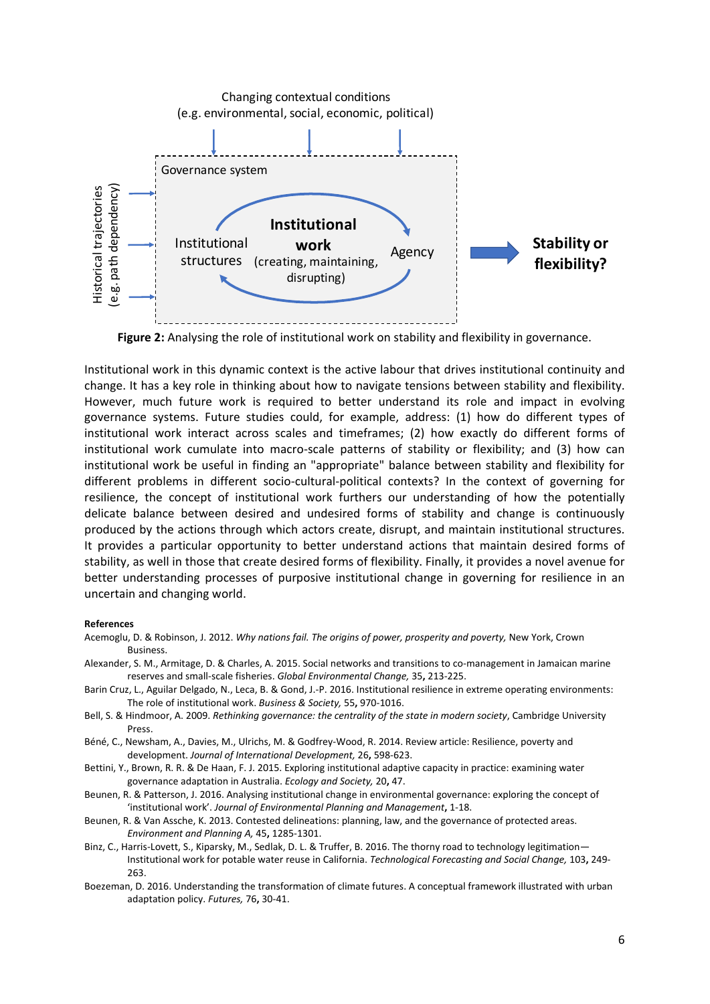

**Figure 2:** Analysing the role of institutional work on stability and flexibility in governance.

Institutional work in this dynamic context is the active labour that drives institutional continuity and change. It has a key role in thinking about how to navigate tensions between stability and flexibility. However, much future work is required to better understand its role and impact in evolving governance systems. Future studies could, for example, address: (1) how do different types of institutional work interact across scales and timeframes; (2) how exactly do different forms of institutional work cumulate into macro-scale patterns of stability or flexibility; and (3) how can institutional work be useful in finding an "appropriate" balance between stability and flexibility for different problems in different socio-cultural-political contexts? In the context of governing for resilience, the concept of institutional work furthers our understanding of how the potentially delicate balance between desired and undesired forms of stability and change is continuously produced by the actions through which actors create, disrupt, and maintain institutional structures. It provides a particular opportunity to better understand actions that maintain desired forms of stability, as well in those that create desired forms of flexibility. Finally, it provides a novel avenue for better understanding processes of purposive institutional change in governing for resilience in an uncertain and changing world.

#### **References**

- <span id="page-6-5"></span>Acemoglu, D. & Robinson, J. 2012. *Why nations fail. The origins of power, prosperity and poverty,* New York, Crown Business.
- <span id="page-6-7"></span>Alexander, S. M., Armitage, D. & Charles, A. 2015. Social networks and transitions to co-management in Jamaican marine reserves and small-scale fisheries. *Global Environmental Change,* 35**,** 213-225.
- <span id="page-6-6"></span>Barin Cruz, L., Aguilar Delgado, N., Leca, B. & Gond, J.-P. 2016. Institutional resilience in extreme operating environments: The role of institutional work. *Business & Society,* 55**,** 970-1016.
- <span id="page-6-4"></span>Bell, S. & Hindmoor, A. 2009. *Rethinking governance: the centrality of the state in modern society*, Cambridge University Press.
- <span id="page-6-3"></span>Béné, C., Newsham, A., Davies, M., Ulrichs, M. & Godfrey‐Wood, R. 2014. Review article: Resilience, poverty and development. *Journal of International Development,* 26**,** 598-623.
- <span id="page-6-0"></span>Bettini, Y., Brown, R. R. & De Haan, F. J. 2015. Exploring institutional adaptive capacity in practice: examining water governance adaptation in Australia. *Ecology and Society,* 20**,** 47.
- <span id="page-6-1"></span>Beunen, R. & Patterson, J. 2016. Analysing institutional change in environmental governance: exploring the concept of 'institutional work'. *Journal of Environmental Planning and Management***,** 1-18.
- <span id="page-6-8"></span>Beunen, R. & Van Assche, K. 2013. Contested delineations: planning, law, and the governance of protected areas. *Environment and Planning A,* 45**,** 1285-1301.
- <span id="page-6-2"></span>Binz, C., Harris-Lovett, S., Kiparsky, M., Sedlak, D. L. & Truffer, B. 2016. The thorny road to technology legitimation— Institutional work for potable water reuse in California. *Technological Forecasting and Social Change,* 103**,** 249- 263.
- <span id="page-6-9"></span>Boezeman, D. 2016. Understanding the transformation of climate futures. A conceptual framework illustrated with urban adaptation policy. *Futures,* 76**,** 30-41.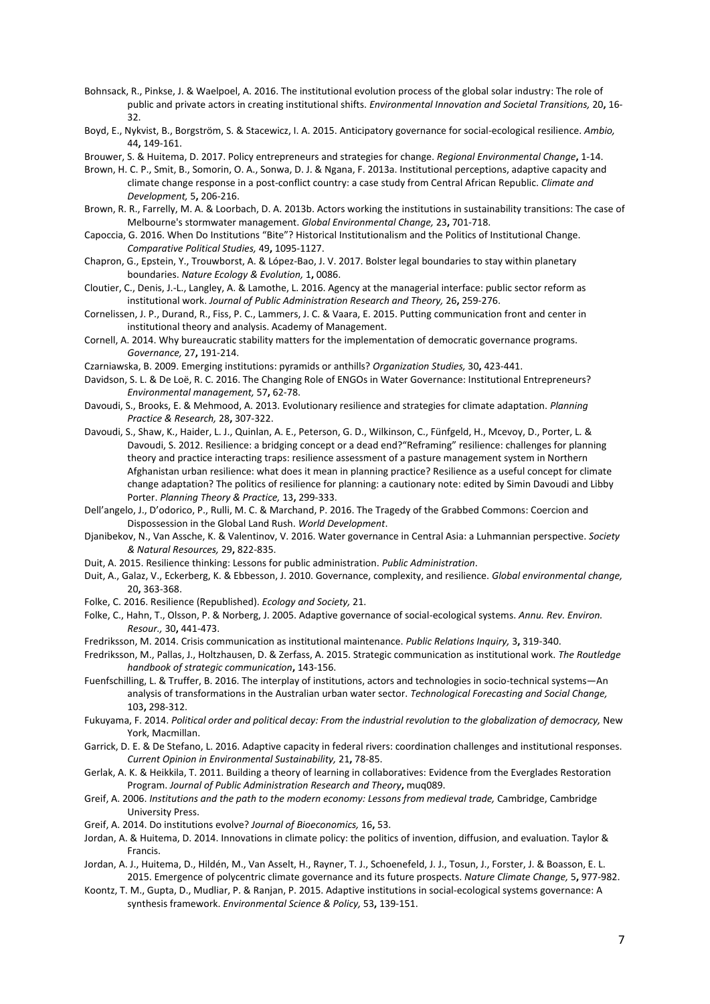- <span id="page-7-24"></span>Bohnsack, R., Pinkse, J. & Waelpoel, A. 2016. The institutional evolution process of the global solar industry: The role of public and private actors in creating institutional shifts. *Environmental Innovation and Societal Transitions,* 20**,** 16- 32.
- <span id="page-7-8"></span>Boyd, E., Nykvist, B., Borgström, S. & Stacewicz, I. A. 2015. Anticipatory governance for social-ecological resilience. *Ambio,* 44**,** 149-161.
- <span id="page-7-27"></span>Brouwer, S. & Huitema, D. 2017. Policy entrepreneurs and strategies for change. *Regional Environmental Change***,** 1-14.
- <span id="page-7-10"></span>Brown, H. C. P., Smit, B., Somorin, O. A., Sonwa, D. J. & Ngana, F. 2013a. Institutional perceptions, adaptive capacity and climate change response in a post-conflict country: a case study from Central African Republic. *Climate and Development,* 5**,** 206-216.
- <span id="page-7-22"></span>Brown, R. R., Farrelly, M. A. & Loorbach, D. A. 2013b. Actors working the institutions in sustainability transitions: The case of Melbourne's stormwater management. *Global Environmental Change,* 23**,** 701-718.
- <span id="page-7-12"></span>Capoccia, G. 2016. When Do Institutions "Bite"? Historical Institutionalism and the Politics of Institutional Change. *Comparative Political Studies,* 49**,** 1095-1127.
- <span id="page-7-3"></span>Chapron, G., Epstein, Y., Trouwborst, A. & López-Bao, J. V. 2017. Bolster legal boundaries to stay within planetary boundaries. *Nature Ecology & Evolution,* 1**,** 0086.
- <span id="page-7-21"></span>Cloutier, C., Denis, J.-L., Langley, A. & Lamothe, L. 2016. Agency at the managerial interface: public sector reform as institutional work. *Journal of Public Administration Research and Theory,* 26**,** 259-276.
- <span id="page-7-29"></span>Cornelissen, J. P., Durand, R., Fiss, P. C., Lammers, J. C. & Vaara, E. 2015. Putting communication front and center in institutional theory and analysis. Academy of Management.
- <span id="page-7-15"></span>Cornell, A. 2014. Why bureaucratic stability matters for the implementation of democratic governance programs. *Governance,* 27**,** 191-214.
- <span id="page-7-20"></span>Czarniawska, B. 2009. Emerging institutions: pyramids or anthills? *Organization Studies,* 30**,** 423-441.
- <span id="page-7-26"></span>Davidson, S. L. & De Loë, R. C. 2016. The Changing Role of ENGOs in Water Governance: Institutional Entrepreneurs? *Environmental management,* 57**,** 62-78.
- <span id="page-7-7"></span>Davoudi, S., Brooks, E. & Mehmood, A. 2013. Evolutionary resilience and strategies for climate adaptation. *Planning Practice & Research,* 28**,** 307-322.
- <span id="page-7-14"></span>Davoudi, S., Shaw, K., Haider, L. J., Quinlan, A. E., Peterson, G. D., Wilkinson, C., Fünfgeld, H., Mcevoy, D., Porter, L. & Davoudi, S. 2012. Resilience: a bridging concept or a dead end?"Reframing" resilience: challenges for planning theory and practice interacting traps: resilience assessment of a pasture management system in Northern Afghanistan urban resilience: what does it mean in planning practice? Resilience as a useful concept for climate change adaptation? The politics of resilience for planning: a cautionary note: edited by Simin Davoudi and Libby Porter. *Planning Theory & Practice,* 13**,** 299-333.
- <span id="page-7-19"></span>Dell'angelo, J., D'odorico, P., Rulli, M. C. & Marchand, P. 2016. The Tragedy of the Grabbed Commons: Coercion and Dispossession in the Global Land Rush. *World Development*.
- <span id="page-7-25"></span>Djanibekov, N., Van Assche, K. & Valentinov, V. 2016. Water governance in Central Asia: a Luhmannian perspective. *Society & Natural Resources,* 29**,** 822-835.
- <span id="page-7-13"></span>Duit, A. 2015. Resilience thinking: Lessons for public administration. *Public Administration*.
- <span id="page-7-0"></span>Duit, A., Galaz, V., Eckerberg, K. & Ebbesson, J. 2010. Governance, complexity, and resilience. *Global environmental change,* 20**,** 363-368.
- <span id="page-7-30"></span>Folke, C. 2016. Resilience (Republished). *Ecology and Society,* 21.
- <span id="page-7-1"></span>Folke, C., Hahn, T., Olsson, P. & Norberg, J. 2005. Adaptive governance of social-ecological systems. *Annu. Rev. Environ. Resour.,* 30**,** 441-473.
- <span id="page-7-23"></span>Fredriksson, M. 2014. Crisis communication as institutional maintenance. *Public Relations Inquiry,* 3**,** 319-340.
- <span id="page-7-28"></span>Fredriksson, M., Pallas, J., Holtzhausen, D. & Zerfass, A. 2015. Strategic communication as institutional work. *The Routledge handbook of strategic communication***,** 143-156.
- <span id="page-7-11"></span>Fuenfschilling, L. & Truffer, B. 2016. The interplay of institutions, actors and technologies in socio-technical systems—An analysis of transformations in the Australian urban water sector. *Technological Forecasting and Social Change,* 103**,** 298-312.
- <span id="page-7-4"></span>Fukuyama, F. 2014. *Political order and political decay: From the industrial revolution to the globalization of democracy,* New York, Macmillan.
- <span id="page-7-5"></span>Garrick, D. E. & De Stefano, L. 2016. Adaptive capacity in federal rivers: coordination challenges and institutional responses. *Current Opinion in Environmental Sustainability,* 21**,** 78-85.
- <span id="page-7-18"></span>Gerlak, A. K. & Heikkila, T. 2011. Building a theory of learning in collaboratives: Evidence from the Everglades Restoration Program. *Journal of Public Administration Research and Theory***,** muq089.
- <span id="page-7-2"></span>Greif, A. 2006. *Institutions and the path to the modern economy: Lessons from medieval trade,* Cambridge, Cambridge University Press.
- <span id="page-7-9"></span>Greif, A. 2014. Do institutions evolve? *Journal of Bioeconomics,* 16**,** 53.
- <span id="page-7-16"></span>Jordan, A. & Huitema, D. 2014. Innovations in climate policy: the politics of invention, diffusion, and evaluation. Taylor & Francis.
- <span id="page-7-17"></span>Jordan, A. J., Huitema, D., Hildén, M., Van Asselt, H., Rayner, T. J., Schoenefeld, J. J., Tosun, J., Forster, J. & Boasson, E. L. 2015. Emergence of polycentric climate governance and its future prospects. *Nature Climate Change,* 5**,** 977-982.
- <span id="page-7-6"></span>Koontz, T. M., Gupta, D., Mudliar, P. & Ranjan, P. 2015. Adaptive institutions in social-ecological systems governance: A synthesis framework. *Environmental Science & Policy,* 53**,** 139-151.